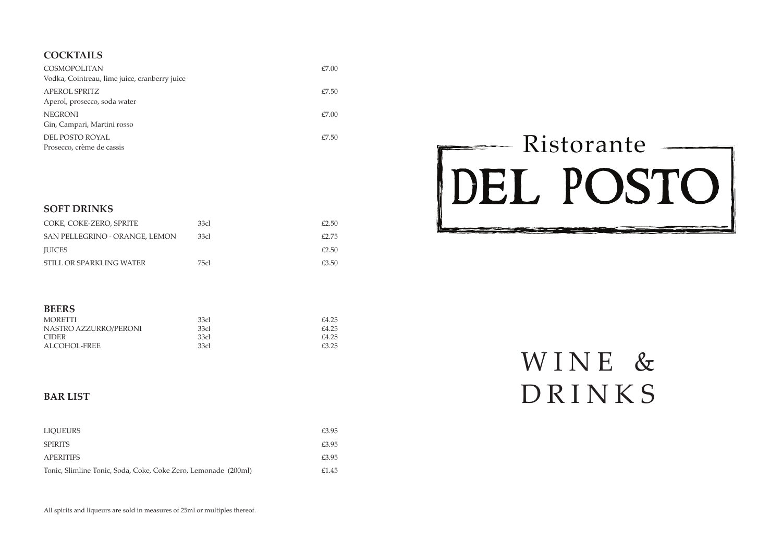

# WINE & DRINKS

# **COCKTAINS**  $COCKTAILS$

| <b>COSMOPOLITAN</b><br>Vodka, Cointreau, lime juice, cranberry juice | £7.00 |
|----------------------------------------------------------------------|-------|
| <b>APEROL SPRITZ</b>                                                 | £7.50 |
| Aperol, prosecco, soda water                                         |       |
| <b>NEGRONI</b><br>Gin, Campari, Martini rosso                        | £7.00 |
| DEL POSTO ROYAL<br>Prosecco, crème de cassis                         | E7.50 |

| COKE, COKE-ZERO, SPRITE        | 33cl | £2.50 |
|--------------------------------|------|-------|
| SAN PELLEGRINO - ORANGE, LEMON | 33cl | £2.75 |
| <b>IUICES</b>                  |      | £2.50 |
| STILL OR SPARKLING WATER       | 75cl | £3.50 |

# **BEERS**

### **SOFT DRINKS** COKE, DIET COKE, SPRITE **SOFT DRINKS**

| MORETTI               | 33cl | £4.25 |
|-----------------------|------|-------|
| NASTRO AZZURRO/PERONI | 33cl | £4.25 |
| <b>CIDER</b>          | 33cl | £4.25 |
| ALCOHOL-FREE          | 33cl | £3.25 |

| <b>LIQUEURS</b>                                                | £3.95 |
|----------------------------------------------------------------|-------|
| <b>SPIRITS</b>                                                 | £3.95 |
| APERITIFS                                                      | £3.95 |
| Tonic, Slimline Tonic, Soda, Coke, Coke Zero, Lemonade (200ml) | £1.45 |

# **BAR LIST**

All spirits and liqueurs are sold in measures of 25ml or multiples thereof.